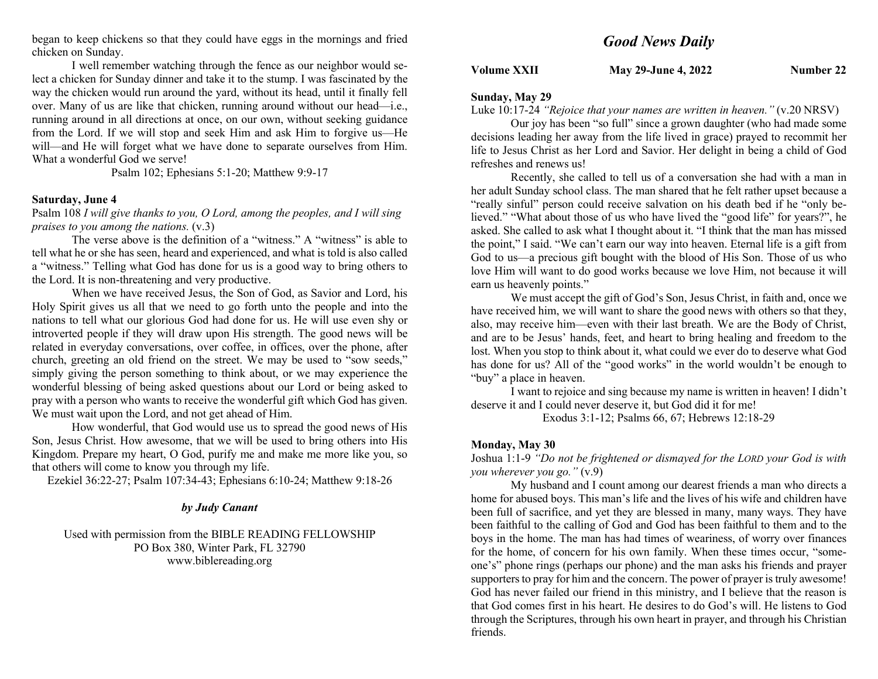began to keep chickens so that they could have eggs in the mornings and fried chicken on Sunday.

I well remember watching through the fence as our neighbor would select a chicken for Sunday dinner and take it to the stump. I was fascinated by the way the chicken would run around the yard, without its head, until it finally fell over. Many of us are like that chicken, running around without our head—i.e., running around in all directions at once, on our own, without seeking guidance from the Lord. If we will stop and seek Him and ask Him to forgive us—He will—and He will forget what we have done to separate ourselves from Him. What a wonderful God we serve!

Psalm 102; Ephesians 5:1-20; Matthew 9:9-17

#### Saturday, June 4

Psalm 108 I will give thanks to you, O Lord, among the peoples, and I will sing praises to you among the nations. (v.3)

The verse above is the definition of a "witness." A "witness" is able to tell what he or she has seen, heard and experienced, and what is told is also called a "witness." Telling what God has done for us is a good way to bring others to the Lord. It is non-threatening and very productive.

When we have received Jesus, the Son of God, as Savior and Lord, his Holy Spirit gives us all that we need to go forth unto the people and into the nations to tell what our glorious God had done for us. He will use even shy or introverted people if they will draw upon His strength. The good news will be related in everyday conversations, over coffee, in offices, over the phone, after church, greeting an old friend on the street. We may be used to "sow seeds," simply giving the person something to think about, or we may experience the wonderful blessing of being asked questions about our Lord or being asked to pray with a person who wants to receive the wonderful gift which God has given. We must wait upon the Lord, and not get ahead of Him.

How wonderful, that God would use us to spread the good news of His Son, Jesus Christ. How awesome, that we will be used to bring others into His Kingdom. Prepare my heart, O God, purify me and make me more like you, so that others will come to know you through my life.

Ezekiel 36:22-27; Psalm 107:34-43; Ephesians 6:10-24; Matthew 9:18-26

# by Judy Canant

Used with permission from the BIBLE READING FELLOWSHIP PO Box 380, Winter Park, FL 32790 www.biblereading.org

# Good News Daily

Volume XXII May 29-June 4, 2022 Number 22

#### Sunday, May 29

Luke 10:17-24 "Rejoice that your names are written in heaven." (v.20 NRSV)

Our joy has been "so full" since a grown daughter (who had made some decisions leading her away from the life lived in grace) prayed to recommit her life to Jesus Christ as her Lord and Savior. Her delight in being a child of God refreshes and renews us!

Recently, she called to tell us of a conversation she had with a man in her adult Sunday school class. The man shared that he felt rather upset because a "really sinful" person could receive salvation on his death bed if he "only believed." "What about those of us who have lived the "good life" for years?", he asked. She called to ask what I thought about it. "I think that the man has missed the point," I said. "We can't earn our way into heaven. Eternal life is a gift from God to us—a precious gift bought with the blood of His Son. Those of us who love Him will want to do good works because we love Him, not because it will earn us heavenly points."

We must accept the gift of God's Son, Jesus Christ, in faith and, once we have received him, we will want to share the good news with others so that they, also, may receive him—even with their last breath. We are the Body of Christ, and are to be Jesus' hands, feet, and heart to bring healing and freedom to the lost. When you stop to think about it, what could we ever do to deserve what God has done for us? All of the "good works" in the world wouldn't be enough to "buy" a place in heaven.

I want to rejoice and sing because my name is written in heaven! I didn't deserve it and I could never deserve it, but God did it for me!

Exodus 3:1-12; Psalms 66, 67; Hebrews 12:18-29

#### Monday, May 30

Joshua 1:1-9 "Do not be frightened or dismayed for the LORD your God is with you wherever you go." (v.9)

My husband and I count among our dearest friends a man who directs a home for abused boys. This man's life and the lives of his wife and children have been full of sacrifice, and yet they are blessed in many, many ways. They have been faithful to the calling of God and God has been faithful to them and to the boys in the home. The man has had times of weariness, of worry over finances for the home, of concern for his own family. When these times occur, "someone's" phone rings (perhaps our phone) and the man asks his friends and prayer supporters to pray for him and the concern. The power of prayer is truly awesome! God has never failed our friend in this ministry, and I believe that the reason is that God comes first in his heart. He desires to do God's will. He listens to God through the Scriptures, through his own heart in prayer, and through his Christian friends.